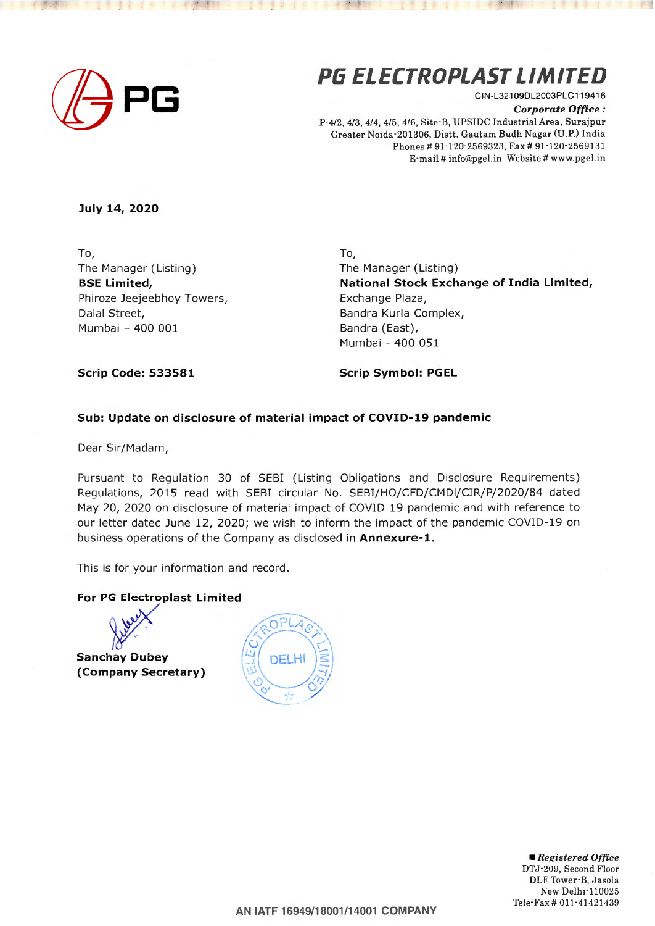

## **Pli ELECTROPLAST LIMITED**

CIN-L32109DL2003PLC119416 *Corporate Office :*  P-4/2, 4/3, 4/4, 4/5, 4/6, Site-B, UPSIDC Industrial Area, Surajpur Greater Noida-201306, Distt. Gautam Budh Nagar (U.P.) India Phones# 91·120-2569323, Fax# 91 ·120-2569131 E·mail # info@pgel.in Website # www.pgel.in

**July 14, 2020** 

To, The Manager (Listing) **BSE Limited,**  Phiroze Jeejeebhoy Towers, Dalal Street, Mumbai - 400 001

To, The Manager (Listing) **National Stock Exchange of India Limited,**  Exchange Plaza, Bandra Kurla Complex, Bandra (East), Mumbai - 400 051

**Scrip Code: 533581** 

**Scrip Symbol: PGEL** 

## **Sub: Update on disclosure of material impact of COVID-19 pandemic**

Dear Sir/Madam,

Pursuant to Regulation 30 of SEBI (Listing Obligations and Disclosure Requirements) Regulations, 2015 read with SEBI circular No. SEBI/HO/CFD/CMDI/CIR/P/2020/84 dated May 20, 2020 on disclosure of material impact of COVID 19 pandemic and with reference to our letter dated June 12, 2020; we wish to inform the impact of the pandemic COVID-19 on business operations of the Company as disclosed in **Annexure-1.** 

This is for your information and record.

## **For PG Electroplast Limited**

**Sanchay Dubey (Company Secretary)** 

| $\mathcal{L}$ | DELHI |
|---------------|-------|
|               |       |

• *Registered Office*  DTJ·209, Second Floor DLF Tower B, Jasola New Delhi-110025 Tele-Fax# 011-41421439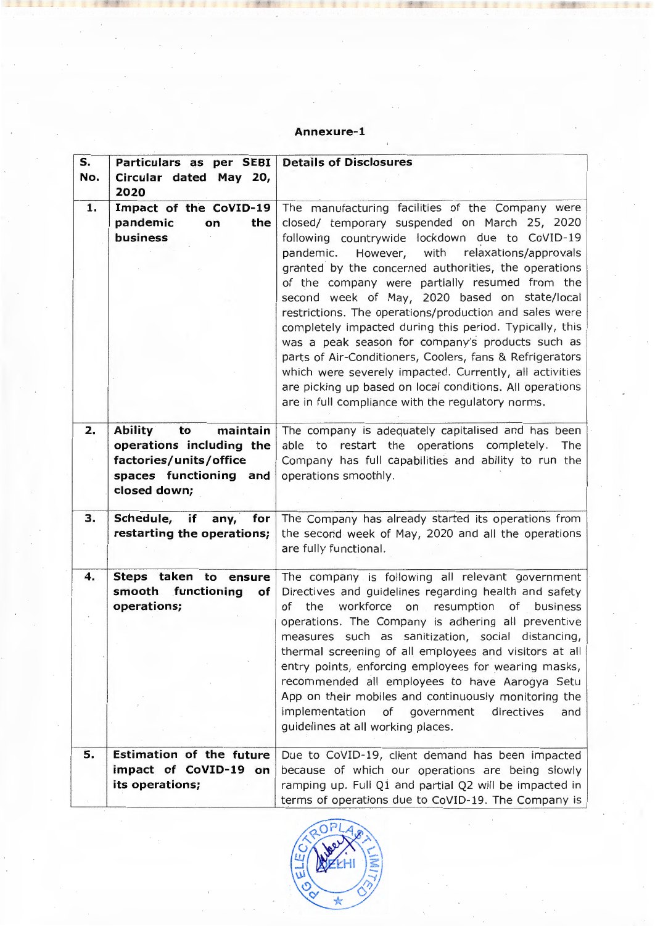## **Annexure-1**

| S.<br>No. | Particulars as per SEBI<br>Circular dated May 20,<br>2020                                                                        | <b>Details of Disclosures</b>                                                                                                                                                                                                                                                                                                                                                                                                                                                                                                                                                                                                                                                                                                                                                       |
|-----------|----------------------------------------------------------------------------------------------------------------------------------|-------------------------------------------------------------------------------------------------------------------------------------------------------------------------------------------------------------------------------------------------------------------------------------------------------------------------------------------------------------------------------------------------------------------------------------------------------------------------------------------------------------------------------------------------------------------------------------------------------------------------------------------------------------------------------------------------------------------------------------------------------------------------------------|
| 1.        | Impact of the CoVID-19<br>pandemic<br>the<br>on<br>business                                                                      | The manufacturing facilities of the Company were<br>closed/ temporary suspended on March 25, 2020<br>following countrywide lockdown due to CoVID-19<br>pandemic. However, with<br>relaxations/approvals<br>granted by the concerned authorities, the operations<br>of the company were partially resumed from the<br>second week of May, 2020 based on state/local<br>restrictions. The operations/production and sales were<br>completely impacted during this period. Typically, this<br>was a peak season for company's products such as<br>parts of Air-Conditioners, Coolers, fans & Refrigerators<br>which were severely impacted. Currently, all activities<br>are picking up based on local conditions. All operations<br>are in full compliance with the regulatory norms. |
| 2.        | maintain<br><b>Ability</b><br>to<br>operations including the<br>factories/units/office<br>spaces functioning and<br>closed down; | The company is adequately capitalised and has been<br>able to restart the operations completely.<br>The<br>Company has full capabilities and ability to run the<br>operations smoothly.                                                                                                                                                                                                                                                                                                                                                                                                                                                                                                                                                                                             |
| 3.        | Schedule, if<br>any, for<br>restarting the operations;                                                                           | The Company has already started its operations from<br>the second week of May, 2020 and all the operations<br>are fully functional.                                                                                                                                                                                                                                                                                                                                                                                                                                                                                                                                                                                                                                                 |
| 4.        | Steps taken to ensure<br>smooth functioning<br>of<br>operations;                                                                 | The company is following all relevant government<br>Directives and guidelines regarding health and safety<br>workforce<br>on resumption<br>of<br>the<br>of business<br>operations. The Company is adhering all preventive<br>measures such as sanitization, social distancing,<br>thermal screening of all employees and visitors at all<br>entry points, enforcing employees for wearing masks,<br>recommended all employees to have Aarogya Setu<br>App on their mobiles and continuously monitoring the<br>implementation<br>of<br>government<br>directives<br>and<br>guidelines at all working places.                                                                                                                                                                          |
| 5.        | <b>Estimation of the future</b><br>impact of CoVID-19 on<br>its operations;                                                      | Due to CoVID-19, client demand has been impacted<br>because of which our operations are being slowly<br>ramping up. Full Q1 and partial Q2 will be impacted in<br>terms of operations due to CoVID-19. The Company is                                                                                                                                                                                                                                                                                                                                                                                                                                                                                                                                                               |



i,